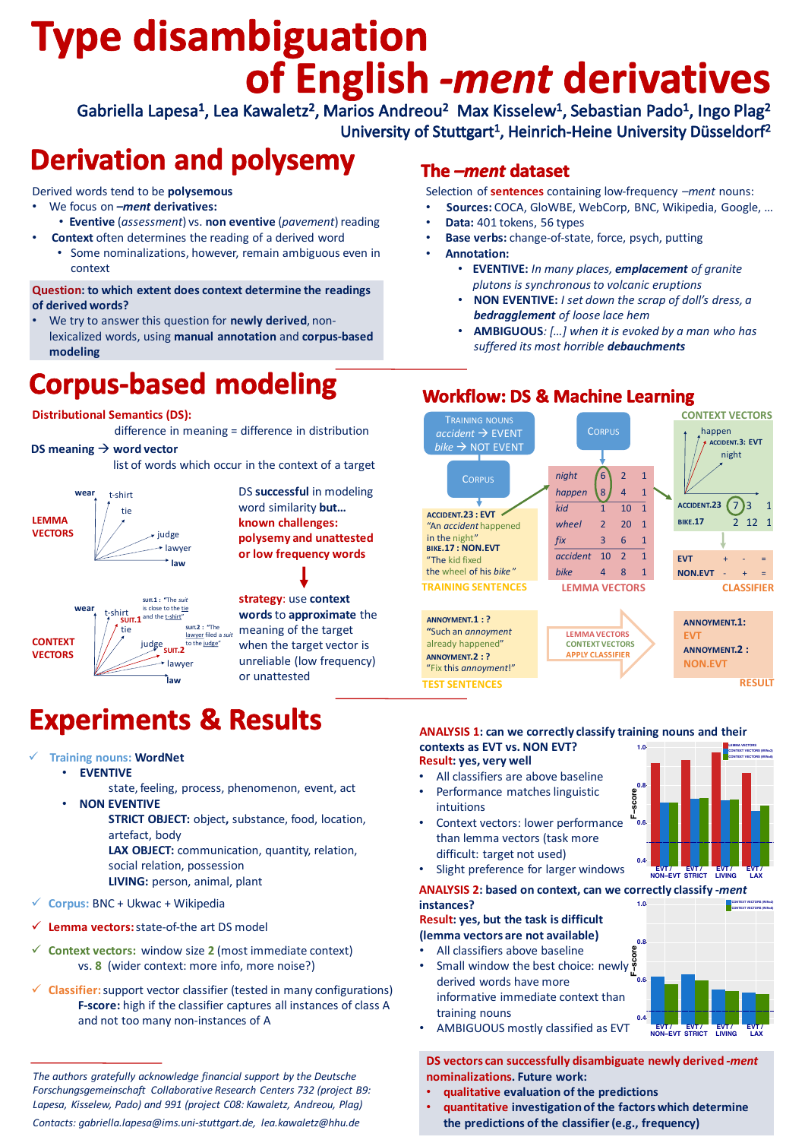# **Type disambiguation** of English -ment derivatives

Gabriella Lapesa<sup>1</sup>, Lea Kawaletz<sup>2</sup>, Marios Andreou<sup>2</sup> Max Kisselew<sup>1</sup>, Sebastian Pado<sup>1</sup>, Ingo Plag<sup>2</sup> University of Stuttgart<sup>1</sup>, Heinrich-Heine University Düsseldorf<sup>2</sup>

## **Derivation and polysemy**

Derived words tend to be **polysemous** 

- We focus on *–ment* derivatives:
	- **Eventive** (*assessment*) vs. **non eventive** (*pavement*) reading
- **Context** often determines the reading of a derived word
	- Some nominalizations, however, remain ambiguous even in context

### **Question: to which extent does context determine the readings** of derived words?

We try to answer this question for **newly derived**, nonlexicalized words, using manual annotation and corpus-based **modeling**

## The -ment dataset

Selection of **sentences** containing low-frequency *–ment* nouns:

- Sources: COCA, GloWBE, WebCorp, BNC, Wikipedia, Google, ...
- **Data:** 401 tokens, 56 types
- **Base verbs:** change-of-state, force, psych, putting
- **Annotation:** 
	- **EVENTIVE:** *In many places, emplacement of granite*  plutons is synchronous to volcanic eruptions
	- **NON EVENTIVE:** *I set down the scrap of doll's dress, a* **bedragglement** of loose lace hem
	- AMBIGUOUS: [...] when it is evoked by a man who has *suffered its most horrible debauchments*

## **Corpus-based modeling**

### **Distributional Semantics (DS):**

## **Workflow: DS & Machine Learning**

TRAINING NOUNS

The authors gratefully acknowledge financial support by the Deutsche *Forschungsgemeinschaft Collaborative Research Centers 732 (project B9:*  Lapesa, Kisselew, Pado) and 991 (project C08: Kawaletz, Andreou, Plag) *Contacts: gabriella.lapesa@ims.uni-stuttgart.de, lea.kawaletz@hhu.de*

Slight preference for larger windows

**CONTEXT VECTORS**

**ACCIDENT.23** (7) 3

**EVT** 

**BIKE.17** 2 12 1

 $$ 

happen

night

**ACCIDENT.3: EVT** 

**CLASSIFIER**

**TEST SENTENCES**

- All classifiers are above baseline
- Performance matches linguistic intuitions
- Context vectors: lower performance than lemma vectors (task more difficult: target not used)

- **qualitative evaluation of the predictions**
- **quantitative investigation of the factors which determine**  the predictions of the classifier (e.g., frequency)

**instances?** 

**Result: yes, but the task is difficult** 

**(lemma vectors are not available)** 

- All classifiers above baseline
- Small window the best choice: newly  $\frac{8}{L}$ derived words have more informative immediate context than training nouns
- AMBIGUOUS mostly classified as EVT



**ANNOYMENT.1:** 

**ANNOYMENT.2:** 



**Experiments & Results** 

- **Training nouns: WordNet** 
	- **• EVENTIVE** 
		- state, feeling, process, phenomenon, event, act
	- **NON EVENTIVE**
		- **STRICT OBJECT:** object, substance, food, location, artefact, body
			- LAX OBJECT: communication, quantity, relation,

### **ANALYSIS 1: can we correctly classify training nouns and their**

**contexts as EVT vs. NON EVT? Result: yes, very well** 

**EVT**

**NON.EVT**

**RESULT**

difference in meaning = difference in distribution

#### **DS** meaning  $\rightarrow$  word vector

list of words which occur in the context of a target

**EVT / NON−EVT EVT / STRICT EVT / LIVING EVT / LAX**

#### **ANALYSIS 2: based on context, can we correctly classify -ment**



social relation, possession **LIVING:** person, animal, plant

- **Corpus: BNC + Ukwac + Wikipedia**
- Lemma vectors: state-of-the art DS model
- **✓ Context vectors:** window size 2 (most immediate context) vs. 8 (wider context: more info, more noise?)
- **✓ Classifier:** support vector classifier (tested in many configurations) F-score: high if the classifier captures all instances of class A and not too many non-instances of A



**DS** vectors can successfully disambiguate newly derived -ment **nominalizations.** Future work: